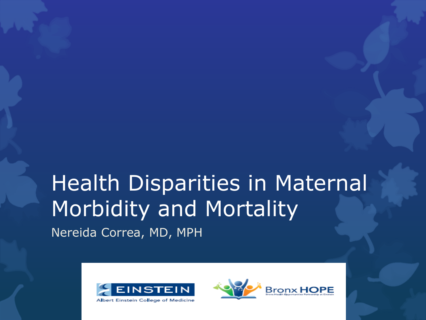# Health Disparities in Maternal Morbidity and Mortality

Nereida Correa, MD, MPH



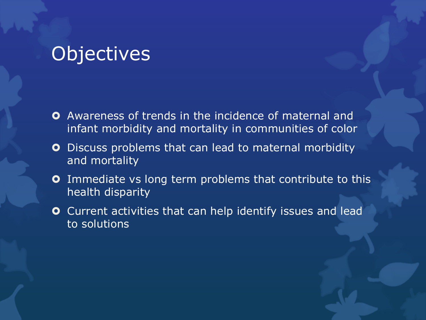#### **Objectives**

- **O** Awareness of trends in the incidence of maternal and infant morbidity and mortality in communities of color
- **O** Discuss problems that can lead to maternal morbidity and mortality
- **O** Immediate vs long term problems that contribute to this health disparity
- Current activities that can help identify issues and lead to solutions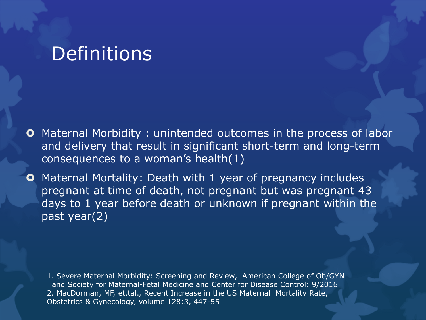#### **Definitions**

- **O** Maternal Morbidity: unintended outcomes in the process of labor and delivery that result in significant short-term and long-term consequences to a woman's health(1)
- **O** Maternal Mortality: Death with 1 year of pregnancy includes pregnant at time of death, not pregnant but was pregnant 43 days to 1 year before death or unknown if pregnant within the past year(2)

1. Severe Maternal Morbidity: Screening and Review, American College of Ob/GYN and Society for Maternal-Fetal Medicine and Center for Disease Control: 9/2016 2. MacDorman, MF, et.tal., Recent Increase in the US Maternal Mortality Rate, Obstetrics & Gynecology, volume 128:3, 447-55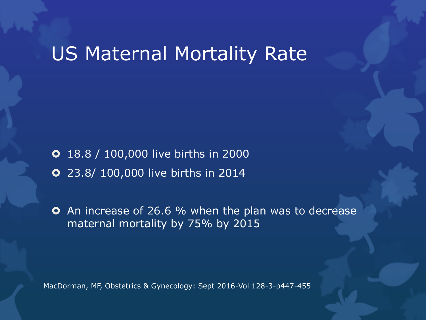## US Maternal Mortality Rate

18.8 / 100,000 live births in 2000

23.8/ 100,000 live births in 2014

**O** An increase of 26.6 % when the plan was to decrease maternal mortality by 75% by 2015

MacDorman, MF, Obstetrics & Gynecology: Sept 2016-Vol 128-3-p447-455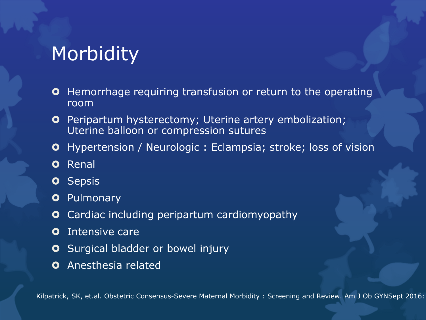## **Morbidity**

- **O** Hemorrhage requiring transfusion or return to the operating room
- **O** Peripartum hysterectomy; Uterine artery embolization; Uterine balloon or compression sutures
- **O** Hypertension / Neurologic: Eclampsia; stroke; loss of vision
- **o** Renal
- **o** Sepsis
- **O** Pulmonary
- **O** Cardiac including peripartum cardiomyopathy
- **O** Intensive care
- **O** Surgical bladder or bowel injury
- **O** Anesthesia related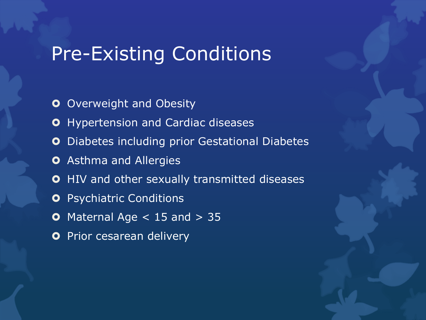#### Pre-Existing Conditions

- **O** Overweight and Obesity
- **O** Hypertension and Cardiac diseases
- **O** Diabetes including prior Gestational Diabetes
- **O** Asthma and Allergies
- **O** HIV and other sexually transmitted diseases
- **O** Psychiatric Conditions
- **O** Maternal Age  $<$  15 and  $>$  35
- **O** Prior cesarean delivery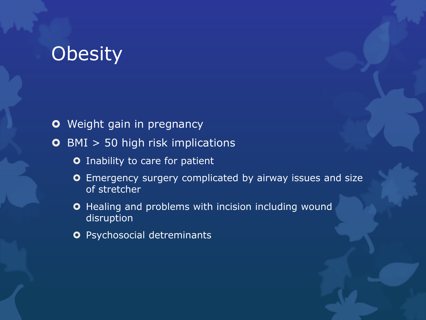## **Obesity**

**O** Weight gain in pregnancy

**O** BMI > 50 high risk implications

- **O** Inability to care for patient
- **O** Emergency surgery complicated by airway issues and size of stretcher
- **O** Healing and problems with incision including wound disruption
- **O** Psychosocial detreminants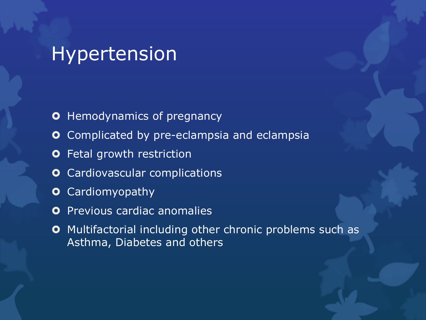## Hypertension

- **O** Hemodynamics of pregnancy
- **O** Complicated by pre-eclampsia and eclampsia
- **O** Fetal growth restriction
- **O** Cardiovascular complications
- **O** Cardiomyopathy
- **O** Previous cardiac anomalies
- **O** Multifactorial including other chronic problems such as Asthma, Diabetes and others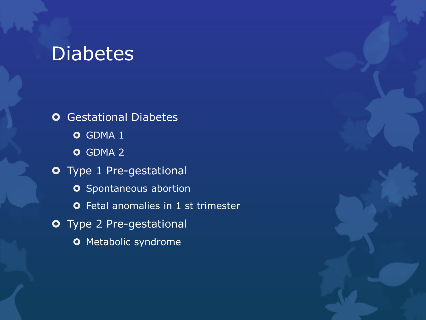## Diabetes

**O** Gestational Diabetes **O** GDMA 1 **O** GDMA 2 Type 1 Pre-gestational **o** Spontaneous abortion **O** Fetal anomalies in 1 st trimester Type 2 Pre-gestational **O** Metabolic syndrome

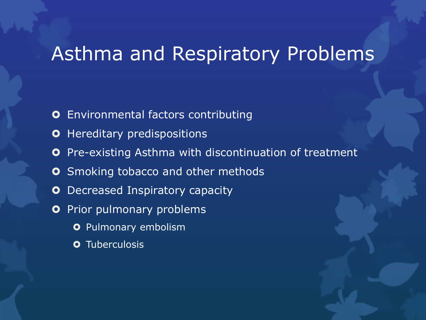## Asthma and Respiratory Problems

- **O** Environmental factors contributing
- **O** Hereditary predispositions
- **O** Pre-existing Asthma with discontinuation of treatment
- **O** Smoking tobacco and other methods
- **O** Decreased Inspiratory capacity
- **O** Prior pulmonary problems
	- **O** Pulmonary embolism
	- **O** Tuberculosis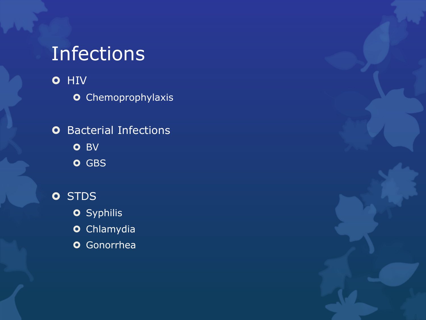# Infections

**O** HIV

**o** Chemoprophylaxis

**O** Bacterial Infections **O** BV

**O** GBS

**o** STDS

**o** Syphilis

**o** Chlamydia

**o** Gonorrhea

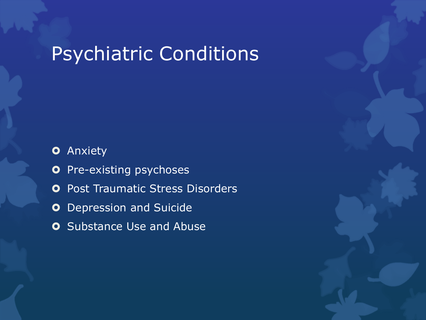# Psychiatric Conditions

**O** Anxiety

- **O** Pre-existing psychoses
- **O** Post Traumatic Stress Disorders
- **O** Depression and Suicide
- **O** Substance Use and Abuse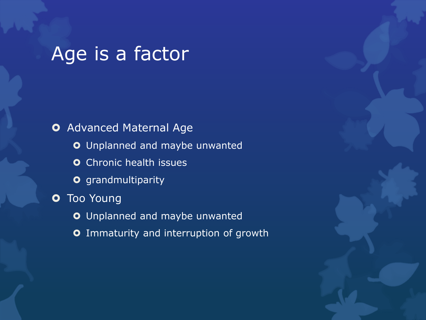# Age is a factor

**O** Advanced Maternal Age Unplanned and maybe unwanted **O** Chronic health issues **o** grandmultiparity **O** Too Young Unplanned and maybe unwanted **O** Immaturity and interruption of growth

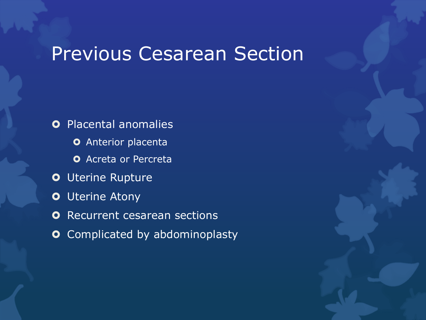## Previous Cesarean Section

**O** Placental anomalies

**O** Anterior placenta

**O** Acreta or Percreta

- **O** Uterine Rupture
- **O** Uterine Atony
- **O** Recurrent cesarean sections
- **O** Complicated by abdominoplasty